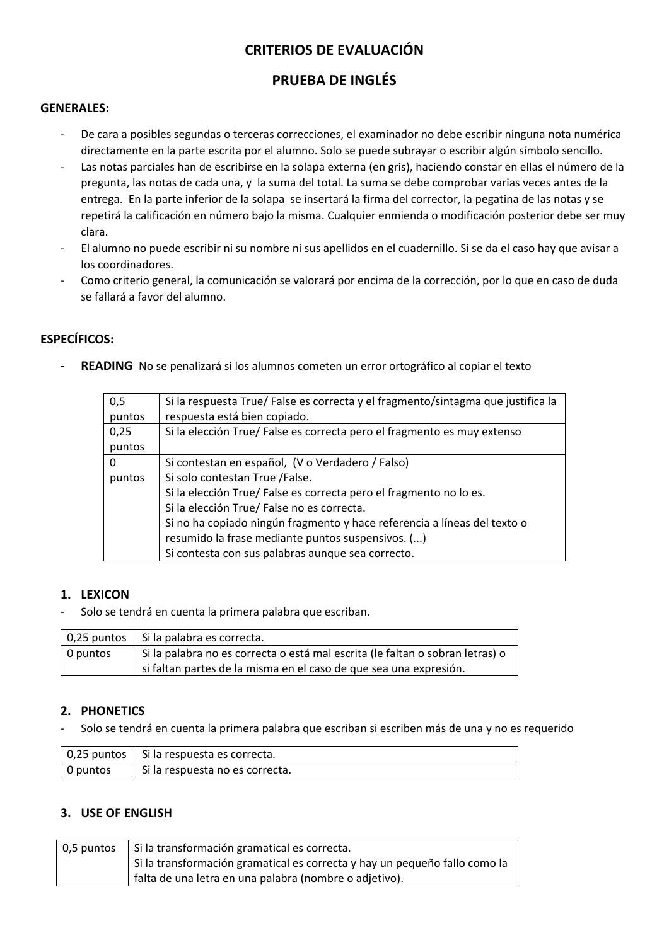# **CRITERIOS DE EVALUACIÓN**

# **PRUEBA DE INGLÉS**

#### **GENERALES:**

- De cara a posibles segundas o terceras correcciones, el examinador no debe escribir ninguna nota numérica directamente en la parte escrita por el alumno. Solo se puede subrayar o escribir algún símbolo sencillo.
- Las notas parciales han de escribirse en la solapa externa (en gris), haciendo constar en ellas el número de la pregunta, las notas de cada una, y la suma del total. La suma se debe comprobar varias veces antes de la entrega. En la parte inferior de la solapa se insertará la firma del corrector, la pegatina de las notas y se repetirá la calificación en número bajo la misma. Cualquier enmienda o modificación posterior debe ser muy clara.
- El alumno no puede escribir ni su nombre ni sus apellidos en el cuadernillo. Si se da el caso hay que avisar a los coordinadores.
- Como criterio general, la comunicación se valorará por encima de la corrección, por lo que en caso de duda se fallará a favor del alumno.

### **ESPECÍFICOS:**

READING No se penalizará si los alumnos cometen un error ortográfico al copiar el texto

| 0,5      | Si la respuesta True/ False es correcta y el fragmento/sintagma que justifica la |  |  |  |  |  |
|----------|----------------------------------------------------------------------------------|--|--|--|--|--|
| puntos   | respuesta está bien copiado.                                                     |  |  |  |  |  |
| 0,25     | Si la elección True/ False es correcta pero el fragmento es muy extenso          |  |  |  |  |  |
| puntos   |                                                                                  |  |  |  |  |  |
| $\Omega$ | Si contestan en español, (V o Verdadero / Falso)                                 |  |  |  |  |  |
| puntos   | Si solo contestan True /False.                                                   |  |  |  |  |  |
|          | Si la elección True/ False es correcta pero el fragmento no lo es.               |  |  |  |  |  |
|          | Si la elección True/ False no es correcta.                                       |  |  |  |  |  |
|          | Si no ha copiado ningún fragmento y hace referencia a líneas del texto o         |  |  |  |  |  |
|          | resumido la frase mediante puntos suspensivos. ()                                |  |  |  |  |  |
|          | Si contesta con sus palabras aunque sea correcto.                                |  |  |  |  |  |

#### **1. LEXICON**

Solo se tendrá en cuenta la primera palabra que escriban.

|                       | 0,25 puntos   Si la palabra es correcta.                                      |  |  |  |  |
|-----------------------|-------------------------------------------------------------------------------|--|--|--|--|
| $\overline{0}$ puntos | Si la palabra no es correcta o está mal escrita (le faltan o sobran letras) o |  |  |  |  |
|                       | si faltan partes de la misma en el caso de que sea una expresión.             |  |  |  |  |

#### **2. PHONETICS**

- Solo se tendrá en cuenta la primera palabra que escriban si escriben más de una y no es requerido

|          | $\vert$ 0,25 puntos $\vert$ Si la respuesta es correcta. |
|----------|----------------------------------------------------------|
| 0 puntos | Si la respuesta no es correcta.                          |

#### **3. USE OF ENGLISH**

| 0,5 puntos   Si la transformación gramatical es correcta.                  |
|----------------------------------------------------------------------------|
| Si la transformación gramatical es correcta y hay un pequeño fallo como la |
| falta de una letra en una palabra (nombre o adjetivo).                     |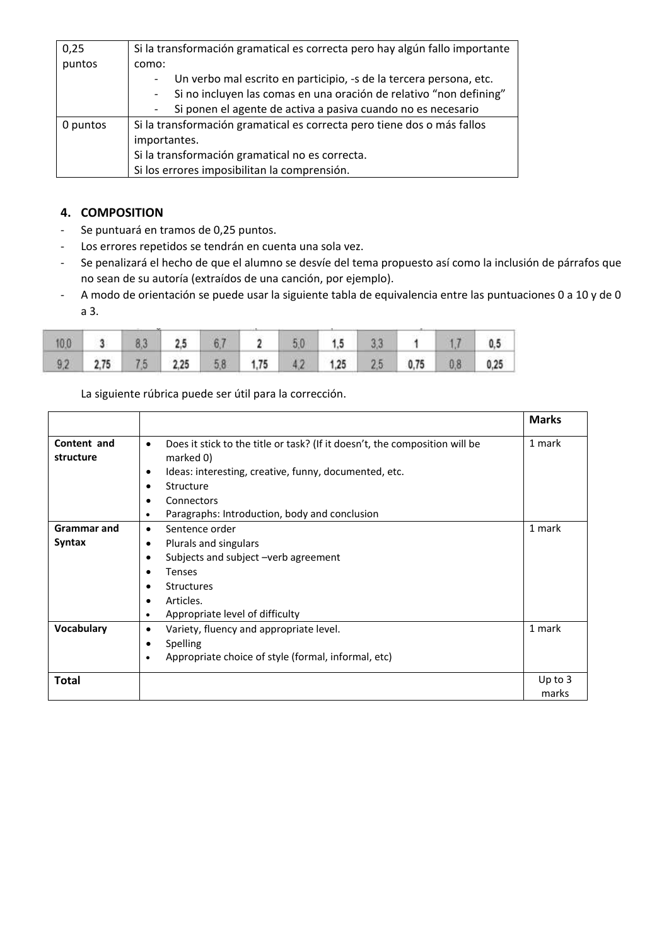| 0,25     | Si la transformación gramatical es correcta pero hay algún fallo importante |  |  |  |  |  |  |  |
|----------|-----------------------------------------------------------------------------|--|--|--|--|--|--|--|
| puntos   | como:                                                                       |  |  |  |  |  |  |  |
|          | Un verbo mal escrito en participio, -s de la tercera persona, etc.          |  |  |  |  |  |  |  |
|          | Si no incluyen las comas en una oración de relativo "non defining"          |  |  |  |  |  |  |  |
|          | Si ponen el agente de activa a pasiva cuando no es necesario                |  |  |  |  |  |  |  |
| 0 puntos | Si la transformación gramatical es correcta pero tiene dos o más fallos     |  |  |  |  |  |  |  |
|          | importantes.                                                                |  |  |  |  |  |  |  |
|          | Si la transformación gramatical no es correcta.                             |  |  |  |  |  |  |  |
|          | Si los errores imposibilitan la comprensión.                                |  |  |  |  |  |  |  |

## **4. COMPOSITION**

- Se puntuará en tramos de 0,25 puntos.
- Los errores repetidos se tendrán en cuenta una sola vez.
- Se penalizará el hecho de que el alumno se desvíe del tema propuesto así como la inclusión de párrafos que no sean de su autoría (extraídos de una canción, por ejemplo).
- A modo de orientación se puede usar la siguiente tabla de equivalencia entre las puntuaciones 0 a 10 y de 0 a 3.

|  | $10.0$ 3 8.3 2.5 6.7 2 5.0 1.5 3.3 1 1.7 0.5          |  |  |  |  |  |
|--|-------------------------------------------------------|--|--|--|--|--|
|  | 9.2 2.75 7.5 2.25 5.8 1.75 4.2 1.25 2.5 0.75 0.8 0.25 |  |  |  |  |  |

La siguiente rúbrica puede ser útil para la corrección.

|                          |                                                                                                                                                                                                                  | <b>Marks</b> |
|--------------------------|------------------------------------------------------------------------------------------------------------------------------------------------------------------------------------------------------------------|--------------|
| Content and<br>structure | Does it stick to the title or task? (If it doesn't, the composition will be<br>$\bullet$<br>marked 0)<br>Ideas: interesting, creative, funny, documented, etc.<br>$\bullet$<br>Structure<br>٠<br>Connectors<br>٠ | 1 mark       |
|                          | Paragraphs: Introduction, body and conclusion<br>٠                                                                                                                                                               |              |
| <b>Grammar and</b>       | Sentence order<br>$\bullet$                                                                                                                                                                                      | 1 mark       |
| Syntax                   | Plurals and singulars<br>٠                                                                                                                                                                                       |              |
|                          | Subjects and subject -verb agreement<br>$\bullet$                                                                                                                                                                |              |
|                          | <b>Tenses</b><br>$\bullet$                                                                                                                                                                                       |              |
|                          | <b>Structures</b><br>٠                                                                                                                                                                                           |              |
|                          | Articles.<br>$\bullet$                                                                                                                                                                                           |              |
|                          | Appropriate level of difficulty                                                                                                                                                                                  |              |
| Vocabulary               | Variety, fluency and appropriate level.<br>٠                                                                                                                                                                     | 1 mark       |
|                          | Spelling<br>٠                                                                                                                                                                                                    |              |
|                          | Appropriate choice of style (formal, informal, etc)<br>$\bullet$                                                                                                                                                 |              |
| Total                    |                                                                                                                                                                                                                  | Up to $3$    |
|                          |                                                                                                                                                                                                                  | marks        |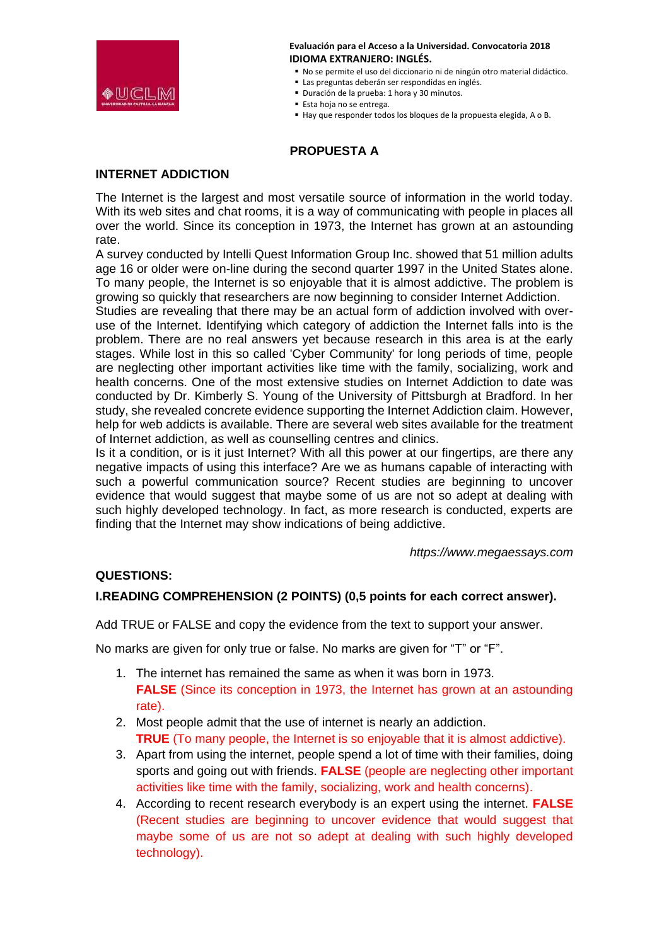

- No se permite el uso del diccionario ni de ningún otro material didáctico.
- Las preguntas deberán ser respondidas en inglés.
- Duración de la prueba: 1 hora y 30 minutos.
- Esta hoja no se entrega.
- Hay que responder todos los bloques de la propuesta elegida, A o B.

# **PROPUESTA A**

#### **INTERNET ADDICTION**

The Internet is the largest and most versatile source of information in the world today. With its web sites and chat rooms, it is a way of communicating with people in places all over the world. Since its conception in 1973, the Internet has grown at an astounding rate.

A survey conducted by Intelli Quest Information Group Inc. showed that 51 million adults age 16 or older were on-line during the second quarter 1997 in the United States alone. To many people, the Internet is so enjoyable that it is almost addictive. The problem is growing so quickly that researchers are now beginning to consider Internet Addiction.

Studies are revealing that there may be an actual form of addiction involved with overuse of the Internet. Identifying which category of addiction the Internet falls into is the problem. There are no real answers yet because research in this area is at the early stages. While lost in this so called 'Cyber Community' for long periods of time, people are neglecting other important activities like time with the family, socializing, work and health concerns. One of the most extensive studies on Internet Addiction to date was conducted by Dr. Kimberly S. Young of the University of Pittsburgh at Bradford. In her study, she revealed concrete evidence supporting the Internet Addiction claim. However, help for web addicts is available. There are several web sites available for the treatment of Internet addiction, as well as counselling centres and clinics.

Is it a condition, or is it just Internet? With all this power at our fingertips, are there any negative impacts of using this interface? Are we as humans capable of interacting with such a powerful communication source? Recent studies are beginning to uncover evidence that would suggest that maybe some of us are not so adept at dealing with such highly developed technology. In fact, as more research is conducted, experts are finding that the Internet may show indications of being addictive.

*https://www.megaessays.com*

#### **QUESTIONS:**

### **I.READING COMPREHENSION (2 POINTS) (0,5 points for each correct answer).**

Add TRUE or FALSE and copy the evidence from the text to support your answer.

No marks are given for only true or false. No marks are given for "T" or "F".

- 1. The internet has remained the same as when it was born in 1973. **FALSE** (Since its conception in 1973, the Internet has grown at an astounding rate).
- 2. Most people admit that the use of internet is nearly an addiction. **TRUE** (To many people, the Internet is so enjoyable that it is almost addictive).
- 3. Apart from using the internet, people spend a lot of time with their families, doing sports and going out with friends. **FALSE** (people are neglecting other important activities like time with the family, socializing, work and health concerns).
- 4. According to recent research everybody is an expert using the internet. **FALSE** (Recent studies are beginning to uncover evidence that would suggest that maybe some of us are not so adept at dealing with such highly developed technology).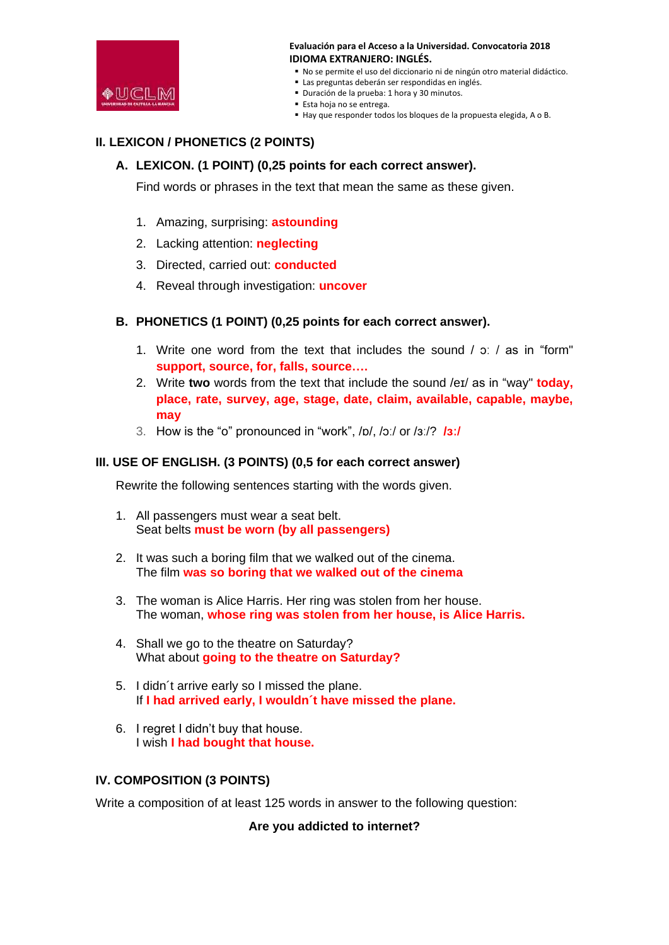

- No se permite el uso del diccionario ni de ningún otro material didáctico.
- Las preguntas deberán ser respondidas en inglés.
- Duración de la prueba: 1 hora y 30 minutos.
- Esta hoja no se entrega.
- Hay que responder todos los bloques de la propuesta elegida, A o B.

### **II. LEXICON / PHONETICS (2 POINTS)**

#### **A. LEXICON. (1 POINT) (0,25 points for each correct answer).**

Find words or phrases in the text that mean the same as these given.

- 1. Amazing, surprising: **astounding**
- 2. Lacking attention: **neglecting**
- 3. Directed, carried out: **conducted**
- 4. Reveal through investigation: **uncover**

#### **B. PHONETICS (1 POINT) (0,25 points for each correct answer).**

- 1. Write one word from the text that includes the sound  $/$   $\sigma$ :  $/$  as in "form" **support, source, for, falls, source….**
- 2. Write **two** words from the text that include the sound /eɪ/ as in "way" **today, place, rate, survey, age, stage, date, claim, available, capable, maybe, may**
- 3. How is the "o" pronounced in "work", /ɒ/, /ɔː/ or /ɜː/? **/ɜː/**

#### **III. USE OF ENGLISH. (3 POINTS) (0,5 for each correct answer)**

Rewrite the following sentences starting with the words given.

- 1. All passengers must wear a seat belt. Seat belts **must be worn (by all passengers)**
- 2. It was such a boring film that we walked out of the cinema. The film **was so boring that we walked out of the cinema**
- 3. The woman is Alice Harris. Her ring was stolen from her house. The woman, **whose ring was stolen from her house, is Alice Harris.**
- 4. Shall we go to the theatre on Saturday? What about **going to the theatre on Saturday?**
- 5. I didn´t arrive early so I missed the plane. If **I had arrived early, I wouldn´t have missed the plane.**
- 6. I regret I didn't buy that house. I wish **I had bought that house.**

#### **IV. COMPOSITION (3 POINTS)**

Write a composition of at least 125 words in answer to the following question:

**Are you addicted to internet?**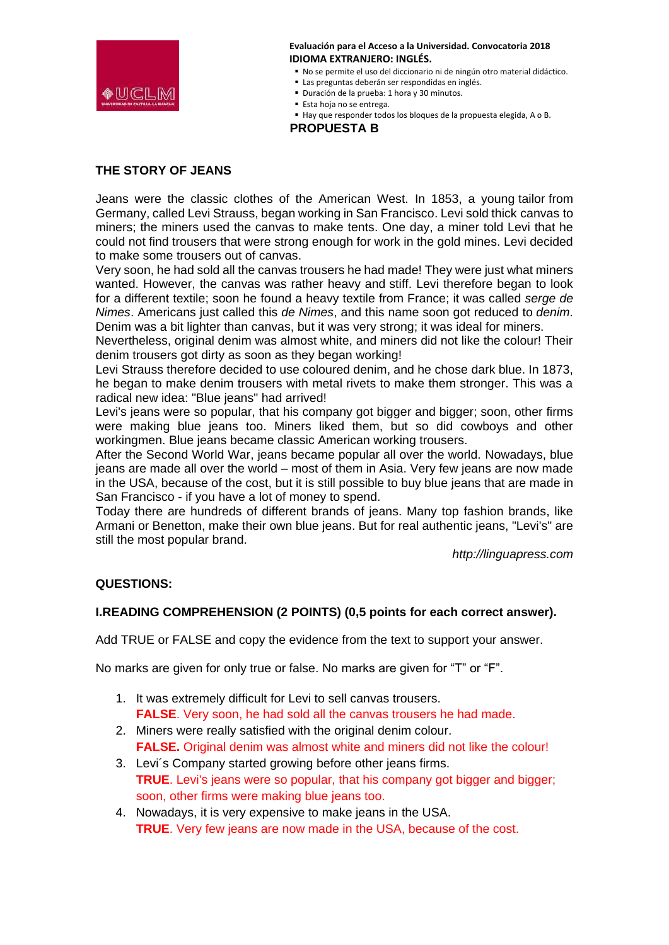

- No se permite el uso del diccionario ni de ningún otro material didáctico.
- Las preguntas deberán ser respondidas en inglés.
- Duración de la prueba: 1 hora y 30 minutos.
- Esta hoja no se entrega.
- Hay que responder todos los bloques de la propuesta elegida, A o B.

**PROPUESTA B**

## **THE STORY OF JEANS**

Jeans were the classic clothes of the American West. In 1853, a young tailor from Germany, called Levi Strauss, began working in San Francisco. Levi sold thick canvas to miners; the miners used the canvas to make tents. One day, a miner told Levi that he could not find trousers that were strong enough for work in the gold mines. Levi decided to make some trousers out of canvas.

Very soon, he had sold all the canvas trousers he had made! They were just what miners wanted. However, the canvas was rather heavy and stiff. Levi therefore began to look for a different textile; soon he found a heavy textile from France; it was called *serge de Nimes*. Americans just called this *de Nimes*, and this name soon got reduced to *denim*. Denim was a bit lighter than canvas, but it was very strong; it was ideal for miners.

Nevertheless, original denim was almost white, and miners did not like the colour! Their denim trousers got dirty as soon as they began working!

Levi Strauss therefore decided to use coloured denim, and he chose dark blue. In 1873, he began to make denim trousers with metal rivets to make them stronger. This was a radical new idea: "Blue jeans" had arrived!

Levi's jeans were so popular, that his company got bigger and bigger; soon, other firms were making blue jeans too. Miners liked them, but so did cowboys and other workingmen. Blue jeans became classic American working trousers.

After the Second World War, jeans became popular all over the world. Nowadays, blue jeans are made all over the world – most of them in Asia. Very few jeans are now made in the USA, because of the cost, but it is still possible to buy blue jeans that are made in San Francisco - if you have a lot of money to spend.

Today there are hundreds of different brands of jeans. Many top fashion brands, like Armani or Benetton, make their own blue jeans. But for real authentic jeans, "Levi's" are still the most popular brand.

*http://linguapress.com*

#### **QUESTIONS:**

#### **I.READING COMPREHENSION (2 POINTS) (0,5 points for each correct answer).**

Add TRUE or FALSE and copy the evidence from the text to support your answer.

No marks are given for only true or false. No marks are given for "T" or "F".

- 1. It was extremely difficult for Levi to sell canvas trousers. **FALSE**. Very soon, he had sold all the canvas trousers he had made.
- 2. Miners were really satisfied with the original denim colour. **FALSE.** Original denim was almost white and miners did not like the colour!
- 3. Levi´s Company started growing before other jeans firms. **TRUE**. Levi's jeans were so popular, that his company got bigger and bigger; soon, other firms were making blue jeans too.
- 4. Nowadays, it is very expensive to make jeans in the USA. **TRUE**. Very few jeans are now made in the USA, because of the cost.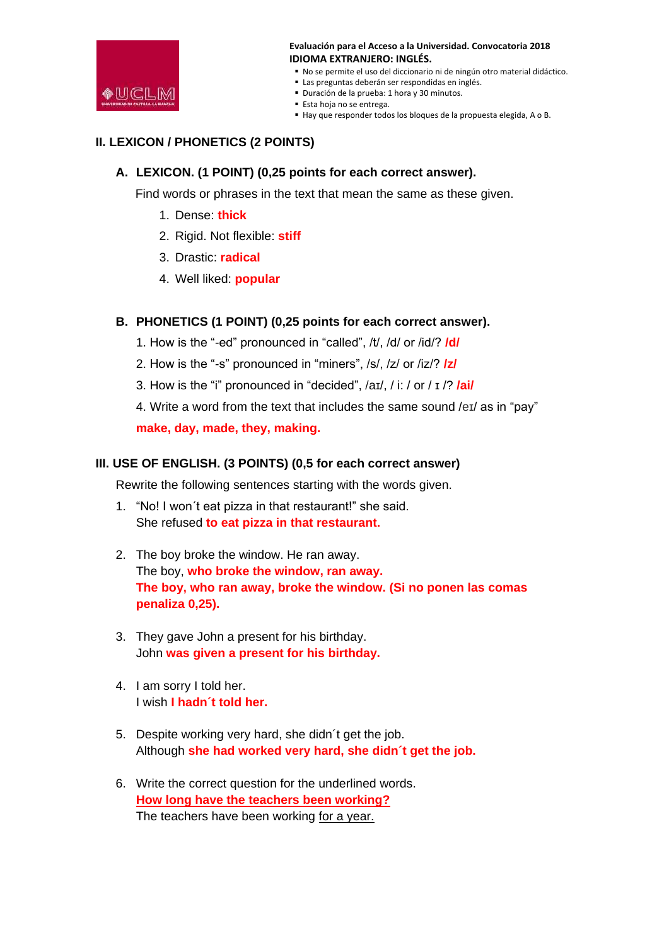

- No se permite el uso del diccionario ni de ningún otro material didáctico.
- Las preguntas deberán ser respondidas en inglés.
- Duración de la prueba: 1 hora y 30 minutos.
- Esta hoja no se entrega.
- Hay que responder todos los bloques de la propuesta elegida, A o B.

# **II. LEXICON / PHONETICS (2 POINTS)**

#### **A. LEXICON. (1 POINT) (0,25 points for each correct answer).**

Find words or phrases in the text that mean the same as these given.

- 1. Dense: **thick**
- 2. Rigid. Not flexible: **stiff**
- 3. Drastic: **radical**
- 4. Well liked: **popular**

### **B. PHONETICS (1 POINT) (0,25 points for each correct answer).**

- 1. How is the "-ed" pronounced in "called", /t/, /d/ or /id/? **/d/**
- 2. How is the "-s" pronounced in "miners", /s/, /z/ or /iz/? **/z/**
- 3. How is the "i" pronounced in "decided", /aɪ/, / i: / or / ɪ /? **/ai/**
- 4. Write a word from the text that includes the same sound /eɪ/ as in "pay"

**make, day, made, they, making.**

#### **III. USE OF ENGLISH. (3 POINTS) (0,5 for each correct answer)**

Rewrite the following sentences starting with the words given.

- 1. "No! I won´t eat pizza in that restaurant!" she said. She refused **to eat pizza in that restaurant.**
- 2. The boy broke the window. He ran away. The boy, **who broke the window, ran away. The boy, who ran away, broke the window. (Si no ponen las comas penaliza 0,25).**
- 3. They gave John a present for his birthday. John **was given a present for his birthday.**
- 4. I am sorry I told her. I wish **I hadn´t told her.**
- 5. Despite working very hard, she didn´t get the job. Although **she had worked very hard, she didn´t get the job.**
- 6. Write the correct question for the underlined words. **How long have the teachers been working?** The teachers have been working for a year.